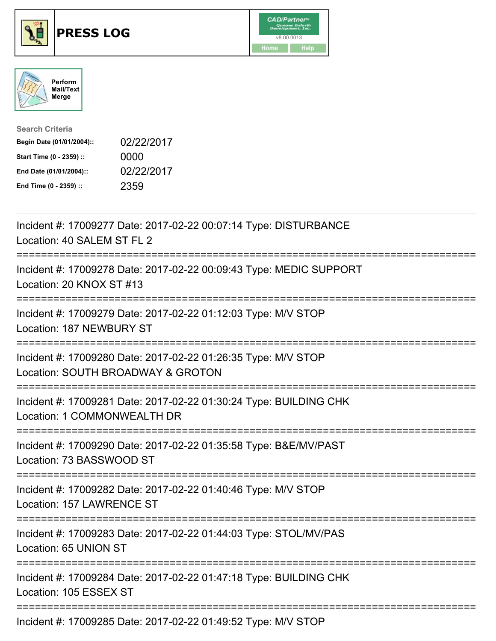





| <b>Search Criteria</b>    |            |
|---------------------------|------------|
| Begin Date (01/01/2004):: | 02/22/2017 |
| Start Time (0 - 2359) ::  | 0000       |
| End Date (01/01/2004)::   | 02/22/2017 |
| End Time (0 - 2359) ::    | 2359       |

| Incident #: 17009277 Date: 2017-02-22 00:07:14 Type: DISTURBANCE<br>Location: 40 SALEM ST FL 2                                   |
|----------------------------------------------------------------------------------------------------------------------------------|
| Incident #: 17009278 Date: 2017-02-22 00:09:43 Type: MEDIC SUPPORT<br>Location: 20 KNOX ST #13<br>;===============               |
| Incident #: 17009279 Date: 2017-02-22 01:12:03 Type: M/V STOP<br>Location: 187 NEWBURY ST<br>------------                        |
| Incident #: 17009280 Date: 2017-02-22 01:26:35 Type: M/V STOP<br>Location: SOUTH BROADWAY & GROTON<br>========================== |
| Incident #: 17009281 Date: 2017-02-22 01:30:24 Type: BUILDING CHK<br>Location: 1 COMMONWEALTH DR<br>--------------               |
| Incident #: 17009290 Date: 2017-02-22 01:35:58 Type: B&E/MV/PAST<br>Location: 73 BASSWOOD ST                                     |
| Incident #: 17009282 Date: 2017-02-22 01:40:46 Type: M/V STOP<br>Location: 157 LAWRENCE ST                                       |
| Incident #: 17009283 Date: 2017-02-22 01:44:03 Type: STOL/MV/PAS<br>Location: 65 UNION ST                                        |
| Incident #: 17009284 Date: 2017-02-22 01:47:18 Type: BUILDING CHK<br>Location: 105 ESSEX ST                                      |
| Incident #: 17009285 Date: 2017-02-22 01:49:52 Type: M/V STOP                                                                    |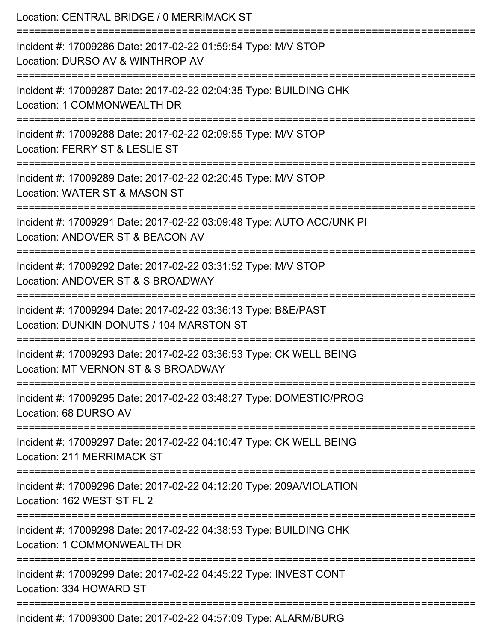| Location: CENTRAL BRIDGE / 0 MERRIMACK ST                                                                                                                                       |
|---------------------------------------------------------------------------------------------------------------------------------------------------------------------------------|
| Incident #: 17009286 Date: 2017-02-22 01:59:54 Type: M/V STOP<br>Location: DURSO AV & WINTHROP AV                                                                               |
| Incident #: 17009287 Date: 2017-02-22 02:04:35 Type: BUILDING CHK<br>Location: 1 COMMONWEALTH DR                                                                                |
| Incident #: 17009288 Date: 2017-02-22 02:09:55 Type: M/V STOP<br>Location: FERRY ST & LESLIE ST                                                                                 |
| Incident #: 17009289 Date: 2017-02-22 02:20:45 Type: M/V STOP<br>Location: WATER ST & MASON ST                                                                                  |
| Incident #: 17009291 Date: 2017-02-22 03:09:48 Type: AUTO ACC/UNK PI<br>Location: ANDOVER ST & BEACON AV                                                                        |
| Incident #: 17009292 Date: 2017-02-22 03:31:52 Type: M/V STOP<br>Location: ANDOVER ST & S BROADWAY                                                                              |
| Incident #: 17009294 Date: 2017-02-22 03:36:13 Type: B&E/PAST<br>Location: DUNKIN DONUTS / 104 MARSTON ST<br>=====================================<br>========================= |
| Incident #: 17009293 Date: 2017-02-22 03:36:53 Type: CK WELL BEING<br>Location: MT VERNON ST & S BROADWAY                                                                       |
| Incident #: 17009295 Date: 2017-02-22 03:48:27 Type: DOMESTIC/PROG<br>Location: 68 DURSO AV                                                                                     |
| Incident #: 17009297 Date: 2017-02-22 04:10:47 Type: CK WELL BEING<br>Location: 211 MERRIMACK ST                                                                                |
| Incident #: 17009296 Date: 2017-02-22 04:12:20 Type: 209A/VIOLATION<br>Location: 162 WEST ST FL 2                                                                               |
| Incident #: 17009298 Date: 2017-02-22 04:38:53 Type: BUILDING CHK<br>Location: 1 COMMONWEALTH DR                                                                                |
| Incident #: 17009299 Date: 2017-02-22 04:45:22 Type: INVEST CONT<br>Location: 334 HOWARD ST                                                                                     |
| Incident #: 17009300 Date: 2017-02-22 04:57:09 Type: ALARM/BURG                                                                                                                 |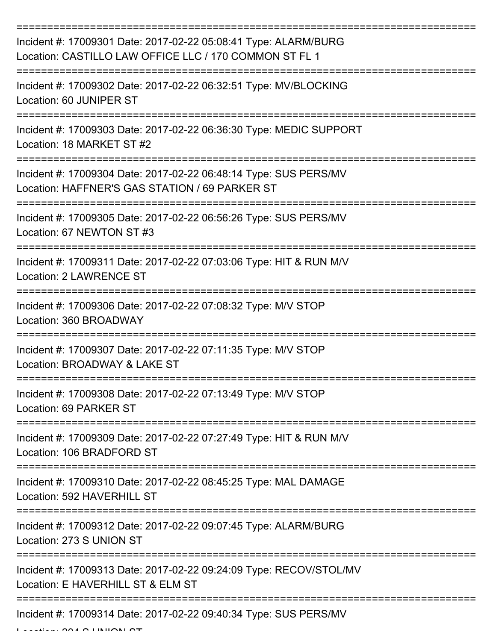| Incident #: 17009301 Date: 2017-02-22 05:08:41 Type: ALARM/BURG<br>Location: CASTILLO LAW OFFICE LLC / 170 COMMON ST FL 1 |
|---------------------------------------------------------------------------------------------------------------------------|
| Incident #: 17009302 Date: 2017-02-22 06:32:51 Type: MV/BLOCKING<br>Location: 60 JUNIPER ST                               |
| Incident #: 17009303 Date: 2017-02-22 06:36:30 Type: MEDIC SUPPORT<br>Location: 18 MARKET ST #2                           |
| Incident #: 17009304 Date: 2017-02-22 06:48:14 Type: SUS PERS/MV<br>Location: HAFFNER'S GAS STATION / 69 PARKER ST        |
| Incident #: 17009305 Date: 2017-02-22 06:56:26 Type: SUS PERS/MV<br>Location: 67 NEWTON ST #3                             |
| Incident #: 17009311 Date: 2017-02-22 07:03:06 Type: HIT & RUN M/V<br><b>Location: 2 LAWRENCE ST</b>                      |
| Incident #: 17009306 Date: 2017-02-22 07:08:32 Type: M/V STOP<br>Location: 360 BROADWAY                                   |
| Incident #: 17009307 Date: 2017-02-22 07:11:35 Type: M/V STOP<br>Location: BROADWAY & LAKE ST                             |
| Incident #: 17009308 Date: 2017-02-22 07:13:49 Type: M/V STOP<br>Location: 69 PARKER ST                                   |
| Incident #: 17009309 Date: 2017-02-22 07:27:49 Type: HIT & RUN M/V<br>Location: 106 BRADFORD ST                           |
| Incident #: 17009310 Date: 2017-02-22 08:45:25 Type: MAL DAMAGE<br>Location: 592 HAVERHILL ST                             |
| Incident #: 17009312 Date: 2017-02-22 09:07:45 Type: ALARM/BURG<br>Location: 273 S UNION ST                               |
| Incident #: 17009313 Date: 2017-02-22 09:24:09 Type: RECOV/STOL/MV<br>Location: E HAVERHILL ST & ELM ST                   |
| Incident #: 17009314 Date: 2017-02-22 09:40:34 Type: SUS PERS/MV                                                          |

 $L = L$   $L = 204$  S UNION ST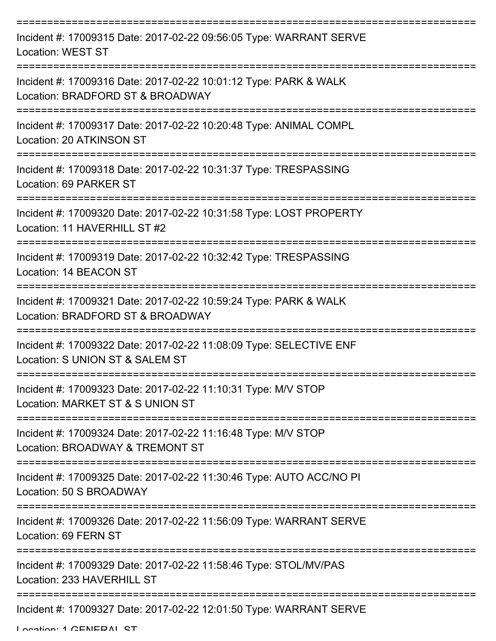| Incident #: 17009315 Date: 2017-02-22 09:56:05 Type: WARRANT SERVE<br><b>Location: WEST ST</b>        |
|-------------------------------------------------------------------------------------------------------|
| Incident #: 17009316 Date: 2017-02-22 10:01:12 Type: PARK & WALK<br>Location: BRADFORD ST & BROADWAY  |
| Incident #: 17009317 Date: 2017-02-22 10:20:48 Type: ANIMAL COMPL<br>Location: 20 ATKINSON ST         |
| Incident #: 17009318 Date: 2017-02-22 10:31:37 Type: TRESPASSING<br>Location: 69 PARKER ST            |
| Incident #: 17009320 Date: 2017-02-22 10:31:58 Type: LOST PROPERTY<br>Location: 11 HAVERHILL ST #2    |
| Incident #: 17009319 Date: 2017-02-22 10:32:42 Type: TRESPASSING<br>Location: 14 BEACON ST            |
| Incident #: 17009321 Date: 2017-02-22 10:59:24 Type: PARK & WALK<br>Location: BRADFORD ST & BROADWAY  |
| Incident #: 17009322 Date: 2017-02-22 11:08:09 Type: SELECTIVE ENF<br>Location: S UNION ST & SALEM ST |
| Incident #: 17009323 Date: 2017-02-22 11:10:31 Type: M/V STOP<br>Location: MARKET ST & S UNION ST     |
| Incident #: 17009324 Date: 2017-02-22 11:16:48 Type: M/V STOP<br>Location: BROADWAY & TREMONT ST      |
| Incident #: 17009325 Date: 2017-02-22 11:30:46 Type: AUTO ACC/NO PI<br>Location: 50 S BROADWAY        |
| Incident #: 17009326 Date: 2017-02-22 11:56:09 Type: WARRANT SERVE<br>Location: 69 FERN ST            |
| Incident #: 17009329 Date: 2017-02-22 11:58:46 Type: STOL/MV/PAS<br>Location: 233 HAVERHILL ST        |
| Incident #: 17009327 Date: 2017-02-22 12:01:50 Type: WARRANT SERVE                                    |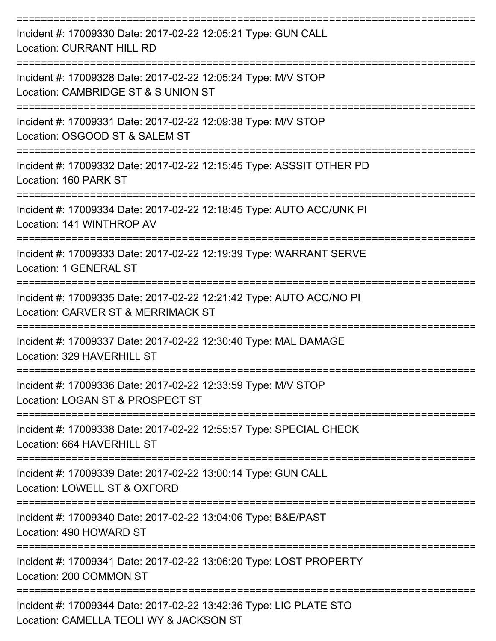| Incident #: 17009330 Date: 2017-02-22 12:05:21 Type: GUN CALL<br><b>Location: CURRANT HILL RD</b>             |
|---------------------------------------------------------------------------------------------------------------|
| Incident #: 17009328 Date: 2017-02-22 12:05:24 Type: M/V STOP<br>Location: CAMBRIDGE ST & S UNION ST          |
| Incident #: 17009331 Date: 2017-02-22 12:09:38 Type: M/V STOP<br>Location: OSGOOD ST & SALEM ST               |
| Incident #: 17009332 Date: 2017-02-22 12:15:45 Type: ASSSIT OTHER PD<br>Location: 160 PARK ST                 |
| Incident #: 17009334 Date: 2017-02-22 12:18:45 Type: AUTO ACC/UNK PI<br>Location: 141 WINTHROP AV             |
| Incident #: 17009333 Date: 2017-02-22 12:19:39 Type: WARRANT SERVE<br>Location: 1 GENERAL ST                  |
| Incident #: 17009335 Date: 2017-02-22 12:21:42 Type: AUTO ACC/NO PI<br>Location: CARVER ST & MERRIMACK ST     |
| Incident #: 17009337 Date: 2017-02-22 12:30:40 Type: MAL DAMAGE<br>Location: 329 HAVERHILL ST                 |
| Incident #: 17009336 Date: 2017-02-22 12:33:59 Type: M/V STOP<br>Location: LOGAN ST & PROSPECT ST             |
| Incident #: 17009338 Date: 2017-02-22 12:55:57 Type: SPECIAL CHECK<br>Location: 664 HAVERHILL ST              |
| Incident #: 17009339 Date: 2017-02-22 13:00:14 Type: GUN CALL<br>Location: LOWELL ST & OXFORD                 |
| Incident #: 17009340 Date: 2017-02-22 13:04:06 Type: B&E/PAST<br>Location: 490 HOWARD ST                      |
| Incident #: 17009341 Date: 2017-02-22 13:06:20 Type: LOST PROPERTY<br>Location: 200 COMMON ST                 |
| Incident #: 17009344 Date: 2017-02-22 13:42:36 Type: LIC PLATE STO<br>Location: CAMELLA TEOLI WY & JACKSON ST |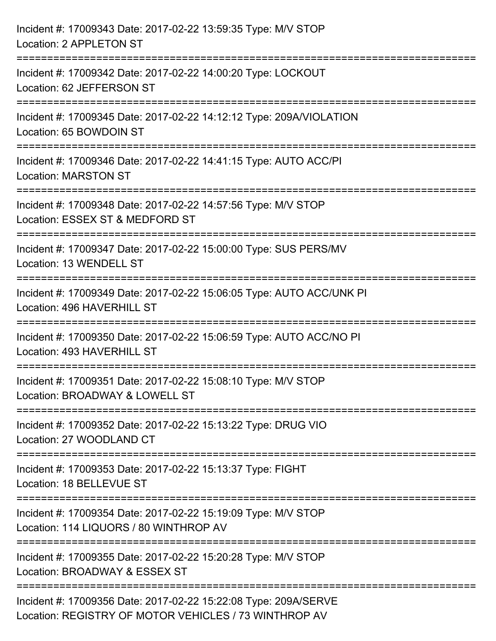| Incident #: 17009343 Date: 2017-02-22 13:59:35 Type: M/V STOP<br>Location: 2 APPLETON ST                                 |
|--------------------------------------------------------------------------------------------------------------------------|
| Incident #: 17009342 Date: 2017-02-22 14:00:20 Type: LOCKOUT<br>Location: 62 JEFFERSON ST<br>:================           |
| Incident #: 17009345 Date: 2017-02-22 14:12:12 Type: 209A/VIOLATION<br>Location: 65 BOWDOIN ST                           |
| Incident #: 17009346 Date: 2017-02-22 14:41:15 Type: AUTO ACC/PI<br><b>Location: MARSTON ST</b>                          |
| Incident #: 17009348 Date: 2017-02-22 14:57:56 Type: M/V STOP<br>Location: ESSEX ST & MEDFORD ST                         |
| Incident #: 17009347 Date: 2017-02-22 15:00:00 Type: SUS PERS/MV<br>Location: 13 WENDELL ST                              |
| Incident #: 17009349 Date: 2017-02-22 15:06:05 Type: AUTO ACC/UNK PI<br>Location: 496 HAVERHILL ST                       |
| Incident #: 17009350 Date: 2017-02-22 15:06:59 Type: AUTO ACC/NO PI<br>Location: 493 HAVERHILL ST                        |
| Incident #: 17009351 Date: 2017-02-22 15:08:10 Type: M/V STOP<br>Location: BROADWAY & LOWELL ST                          |
| Incident #: 17009352 Date: 2017-02-22 15:13:22 Type: DRUG VIO<br>Location: 27 WOODLAND CT                                |
| Incident #: 17009353 Date: 2017-02-22 15:13:37 Type: FIGHT<br>Location: 18 BELLEVUE ST                                   |
| Incident #: 17009354 Date: 2017-02-22 15:19:09 Type: M/V STOP<br>Location: 114 LIQUORS / 80 WINTHROP AV                  |
| Incident #: 17009355 Date: 2017-02-22 15:20:28 Type: M/V STOP<br>Location: BROADWAY & ESSEX ST                           |
| Incident #: 17009356 Date: 2017-02-22 15:22:08 Type: 209A/SERVE<br>Location: REGISTRY OF MOTOR VEHICLES / 73 WINTHROP AV |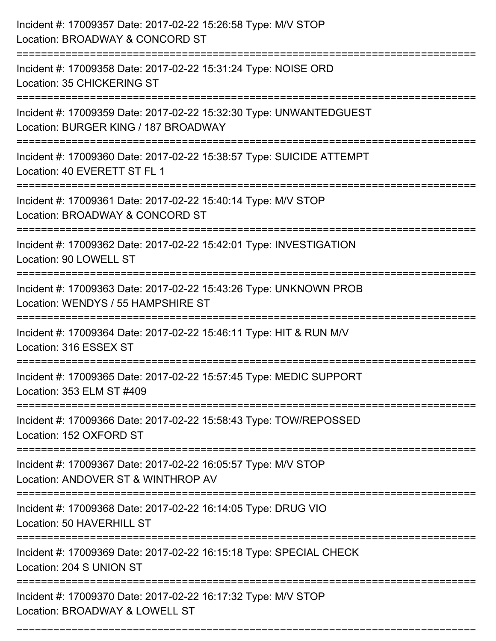| Incident #: 17009357 Date: 2017-02-22 15:26:58 Type: M/V STOP<br>Location: BROADWAY & CONCORD ST                 |
|------------------------------------------------------------------------------------------------------------------|
| Incident #: 17009358 Date: 2017-02-22 15:31:24 Type: NOISE ORD<br>Location: 35 CHICKERING ST                     |
| Incident #: 17009359 Date: 2017-02-22 15:32:30 Type: UNWANTEDGUEST<br>Location: BURGER KING / 187 BROADWAY       |
| Incident #: 17009360 Date: 2017-02-22 15:38:57 Type: SUICIDE ATTEMPT<br>Location: 40 EVERETT ST FL 1             |
| Incident #: 17009361 Date: 2017-02-22 15:40:14 Type: M/V STOP<br>Location: BROADWAY & CONCORD ST<br>============ |
| Incident #: 17009362 Date: 2017-02-22 15:42:01 Type: INVESTIGATION<br>Location: 90 LOWELL ST                     |
| Incident #: 17009363 Date: 2017-02-22 15:43:26 Type: UNKNOWN PROB<br>Location: WENDYS / 55 HAMPSHIRE ST          |
| Incident #: 17009364 Date: 2017-02-22 15:46:11 Type: HIT & RUN M/V<br>Location: 316 ESSEX ST                     |
| Incident #: 17009365 Date: 2017-02-22 15:57:45 Type: MEDIC SUPPORT<br>Location: 353 ELM ST #409                  |
| Incident #: 17009366 Date: 2017-02-22 15:58:43 Type: TOW/REPOSSED<br>Location: 152 OXFORD ST                     |
| Incident #: 17009367 Date: 2017-02-22 16:05:57 Type: M/V STOP<br>Location: ANDOVER ST & WINTHROP AV              |
| Incident #: 17009368 Date: 2017-02-22 16:14:05 Type: DRUG VIO<br>Location: 50 HAVERHILL ST                       |
| Incident #: 17009369 Date: 2017-02-22 16:15:18 Type: SPECIAL CHECK<br>Location: 204 S UNION ST                   |
| Incident #: 17009370 Date: 2017-02-22 16:17:32 Type: M/V STOP<br>Location: BROADWAY & LOWELL ST                  |

===========================================================================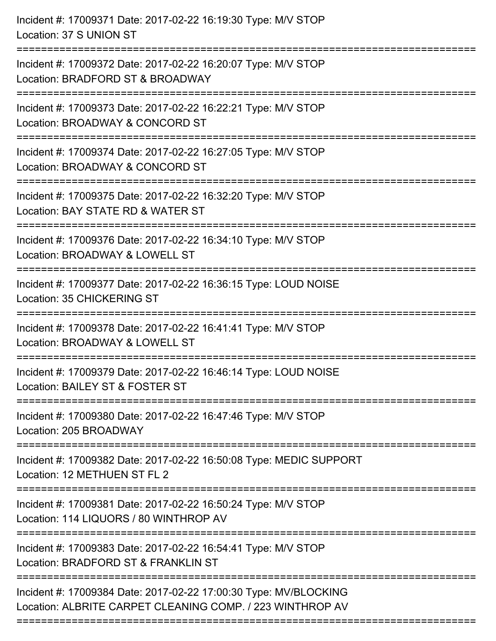| Incident #: 17009371 Date: 2017-02-22 16:19:30 Type: M/V STOP<br>Location: 37 S UNION ST                                      |
|-------------------------------------------------------------------------------------------------------------------------------|
| Incident #: 17009372 Date: 2017-02-22 16:20:07 Type: M/V STOP<br>Location: BRADFORD ST & BROADWAY                             |
| Incident #: 17009373 Date: 2017-02-22 16:22:21 Type: M/V STOP<br>Location: BROADWAY & CONCORD ST<br>======================    |
| Incident #: 17009374 Date: 2017-02-22 16:27:05 Type: M/V STOP<br>Location: BROADWAY & CONCORD ST                              |
| Incident #: 17009375 Date: 2017-02-22 16:32:20 Type: M/V STOP<br>Location: BAY STATE RD & WATER ST<br>:=====================  |
| Incident #: 17009376 Date: 2017-02-22 16:34:10 Type: M/V STOP<br>Location: BROADWAY & LOWELL ST                               |
| Incident #: 17009377 Date: 2017-02-22 16:36:15 Type: LOUD NOISE<br>Location: 35 CHICKERING ST                                 |
| Incident #: 17009378 Date: 2017-02-22 16:41:41 Type: M/V STOP<br>Location: BROADWAY & LOWELL ST                               |
| Incident #: 17009379 Date: 2017-02-22 16:46:14 Type: LOUD NOISE<br>Location: BAILEY ST & FOSTER ST                            |
| Incident #: 17009380 Date: 2017-02-22 16:47:46 Type: M/V STOP<br>Location: 205 BROADWAY                                       |
| Incident #: 17009382 Date: 2017-02-22 16:50:08 Type: MEDIC SUPPORT<br>Location: 12 METHUEN ST FL 2                            |
| Incident #: 17009381 Date: 2017-02-22 16:50:24 Type: M/V STOP<br>Location: 114 LIQUORS / 80 WINTHROP AV                       |
| Incident #: 17009383 Date: 2017-02-22 16:54:41 Type: M/V STOP<br>Location: BRADFORD ST & FRANKLIN ST                          |
| Incident #: 17009384 Date: 2017-02-22 17:00:30 Type: MV/BLOCKING<br>Location: ALBRITE CARPET CLEANING COMP. / 223 WINTHROP AV |
|                                                                                                                               |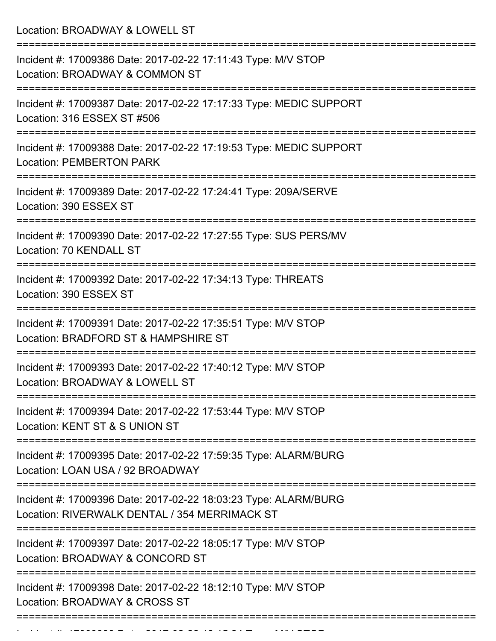Location: BROADWAY & LOWELL ST

| Incident #: 17009386 Date: 2017-02-22 17:11:43 Type: M/V STOP<br>Location: BROADWAY & COMMON ST                  |
|------------------------------------------------------------------------------------------------------------------|
| Incident #: 17009387 Date: 2017-02-22 17:17:33 Type: MEDIC SUPPORT<br>Location: 316 ESSEX ST #506                |
| Incident #: 17009388 Date: 2017-02-22 17:19:53 Type: MEDIC SUPPORT<br><b>Location: PEMBERTON PARK</b>            |
| Incident #: 17009389 Date: 2017-02-22 17:24:41 Type: 209A/SERVE<br>Location: 390 ESSEX ST                        |
| Incident #: 17009390 Date: 2017-02-22 17:27:55 Type: SUS PERS/MV<br>Location: 70 KENDALL ST                      |
| Incident #: 17009392 Date: 2017-02-22 17:34:13 Type: THREATS<br>Location: 390 ESSEX ST                           |
| Incident #: 17009391 Date: 2017-02-22 17:35:51 Type: M/V STOP<br>Location: BRADFORD ST & HAMPSHIRE ST            |
| Incident #: 17009393 Date: 2017-02-22 17:40:12 Type: M/V STOP<br>Location: BROADWAY & LOWELL ST                  |
| Incident #: 17009394 Date: 2017-02-22 17:53:44 Type: M/V STOP<br>Location: KENT ST & S UNION ST                  |
| Incident #: 17009395 Date: 2017-02-22 17:59:35 Type: ALARM/BURG<br>Location: LOAN USA / 92 BROADWAY              |
| Incident #: 17009396 Date: 2017-02-22 18:03:23 Type: ALARM/BURG<br>Location: RIVERWALK DENTAL / 354 MERRIMACK ST |
| Incident #: 17009397 Date: 2017-02-22 18:05:17 Type: M/V STOP<br>Location: BROADWAY & CONCORD ST                 |
| Incident #: 17009398 Date: 2017-02-22 18:12:10 Type: M/V STOP<br>Location: BROADWAY & CROSS ST                   |
|                                                                                                                  |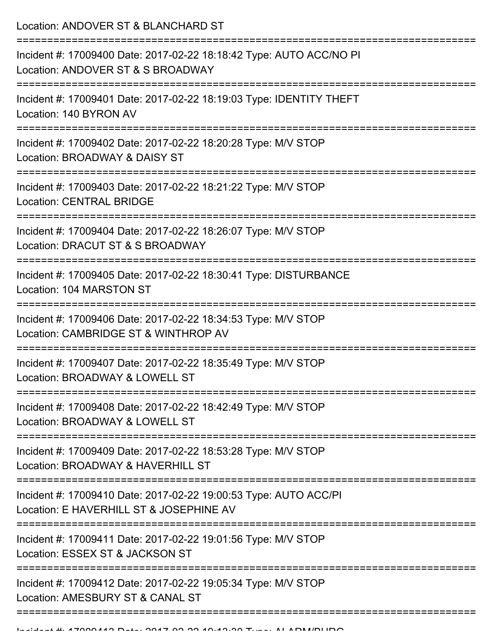Location: ANDOVER ST & BLANCHARD ST

| Incident #: 17009400 Date: 2017-02-22 18:18:42 Type: AUTO ACC/NO PI<br>Location: ANDOVER ST & S BROADWAY    |
|-------------------------------------------------------------------------------------------------------------|
| Incident #: 17009401 Date: 2017-02-22 18:19:03 Type: IDENTITY THEFT<br>Location: 140 BYRON AV               |
| Incident #: 17009402 Date: 2017-02-22 18:20:28 Type: M/V STOP<br>Location: BROADWAY & DAISY ST              |
| Incident #: 17009403 Date: 2017-02-22 18:21:22 Type: M/V STOP<br><b>Location: CENTRAL BRIDGE</b>            |
| Incident #: 17009404 Date: 2017-02-22 18:26:07 Type: M/V STOP<br>Location: DRACUT ST & S BROADWAY           |
| Incident #: 17009405 Date: 2017-02-22 18:30:41 Type: DISTURBANCE<br>Location: 104 MARSTON ST                |
| Incident #: 17009406 Date: 2017-02-22 18:34:53 Type: M/V STOP<br>Location: CAMBRIDGE ST & WINTHROP AV       |
| Incident #: 17009407 Date: 2017-02-22 18:35:49 Type: M/V STOP<br>Location: BROADWAY & LOWELL ST             |
| Incident #: 17009408 Date: 2017-02-22 18:42:49 Type: M/V STOP<br>Location: BROADWAY & LOWELL ST             |
| Incident #: 17009409 Date: 2017-02-22 18:53:28 Type: M/V STOP<br>Location: BROADWAY & HAVERHILL ST          |
| Incident #: 17009410 Date: 2017-02-22 19:00:53 Type: AUTO ACC/PI<br>Location: E HAVERHILL ST & JOSEPHINE AV |
| Incident #: 17009411 Date: 2017-02-22 19:01:56 Type: M/V STOP<br>Location: ESSEX ST & JACKSON ST            |
| Incident #: 17009412 Date: 2017-02-22 19:05:34 Type: M/V STOP<br>Location: AMESBURY ST & CANAL ST           |
|                                                                                                             |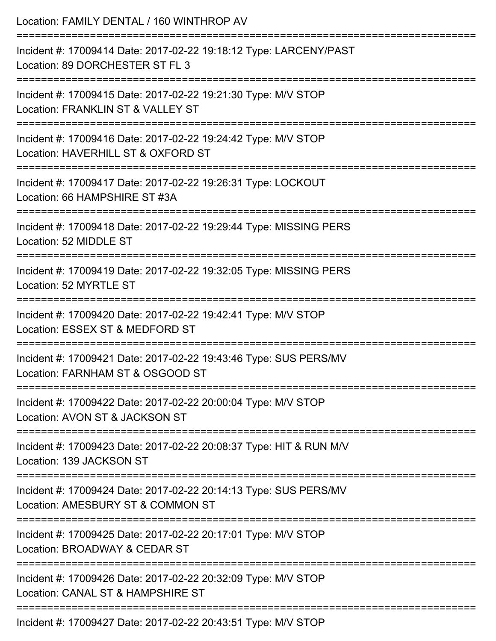| Location: FAMILY DENTAL / 160 WINTHROP AV                                                             |
|-------------------------------------------------------------------------------------------------------|
| Incident #: 17009414 Date: 2017-02-22 19:18:12 Type: LARCENY/PAST<br>Location: 89 DORCHESTER ST FL 3  |
| Incident #: 17009415 Date: 2017-02-22 19:21:30 Type: M/V STOP<br>Location: FRANKLIN ST & VALLEY ST    |
| Incident #: 17009416 Date: 2017-02-22 19:24:42 Type: M/V STOP<br>Location: HAVERHILL ST & OXFORD ST   |
| Incident #: 17009417 Date: 2017-02-22 19:26:31 Type: LOCKOUT<br>Location: 66 HAMPSHIRE ST #3A         |
| Incident #: 17009418 Date: 2017-02-22 19:29:44 Type: MISSING PERS<br>Location: 52 MIDDLE ST           |
| Incident #: 17009419 Date: 2017-02-22 19:32:05 Type: MISSING PERS<br>Location: 52 MYRTLE ST           |
| Incident #: 17009420 Date: 2017-02-22 19:42:41 Type: M/V STOP<br>Location: ESSEX ST & MEDFORD ST      |
| Incident #: 17009421 Date: 2017-02-22 19:43:46 Type: SUS PERS/MV<br>Location: FARNHAM ST & OSGOOD ST  |
| Incident #: 17009422 Date: 2017-02-22 20:00:04 Type: M/V STOP<br>Location: AVON ST & JACKSON ST       |
| Incident #: 17009423 Date: 2017-02-22 20:08:37 Type: HIT & RUN M/V<br>Location: 139 JACKSON ST        |
| Incident #: 17009424 Date: 2017-02-22 20:14:13 Type: SUS PERS/MV<br>Location: AMESBURY ST & COMMON ST |
| Incident #: 17009425 Date: 2017-02-22 20:17:01 Type: M/V STOP<br>Location: BROADWAY & CEDAR ST        |
| Incident #: 17009426 Date: 2017-02-22 20:32:09 Type: M/V STOP<br>Location: CANAL ST & HAMPSHIRE ST    |
| Incident #: 17009427 Date: 2017-02-22 20:43:51 Type: M/V STOP                                         |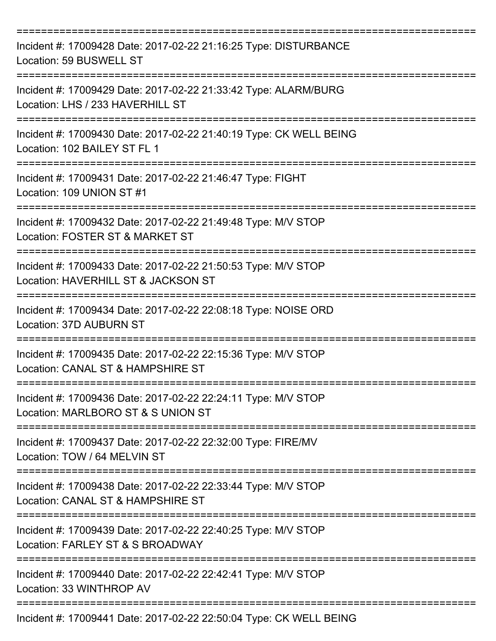| Incident #: 17009428 Date: 2017-02-22 21:16:25 Type: DISTURBANCE<br>Location: 59 BUSWELL ST                                 |
|-----------------------------------------------------------------------------------------------------------------------------|
| Incident #: 17009429 Date: 2017-02-22 21:33:42 Type: ALARM/BURG<br>Location: LHS / 233 HAVERHILL ST                         |
| Incident #: 17009430 Date: 2017-02-22 21:40:19 Type: CK WELL BEING<br>Location: 102 BAILEY ST FL 1                          |
| Incident #: 17009431 Date: 2017-02-22 21:46:47 Type: FIGHT<br>Location: 109 UNION ST #1                                     |
| Incident #: 17009432 Date: 2017-02-22 21:49:48 Type: M/V STOP<br>Location: FOSTER ST & MARKET ST                            |
| Incident #: 17009433 Date: 2017-02-22 21:50:53 Type: M/V STOP<br>Location: HAVERHILL ST & JACKSON ST                        |
| Incident #: 17009434 Date: 2017-02-22 22:08:18 Type: NOISE ORD<br><b>Location: 37D AUBURN ST</b>                            |
| Incident #: 17009435 Date: 2017-02-22 22:15:36 Type: M/V STOP<br>Location: CANAL ST & HAMPSHIRE ST                          |
| :===================<br>Incident #: 17009436 Date: 2017-02-22 22:24:11 Type: M/V STOP<br>Location: MARLBORO ST & S UNION ST |
| Incident #: 17009437 Date: 2017-02-22 22:32:00 Type: FIRE/MV<br>Location: TOW / 64 MELVIN ST                                |
| Incident #: 17009438 Date: 2017-02-22 22:33:44 Type: M/V STOP<br>Location: CANAL ST & HAMPSHIRE ST                          |
| Incident #: 17009439 Date: 2017-02-22 22:40:25 Type: M/V STOP<br>Location: FARLEY ST & S BROADWAY                           |
| Incident #: 17009440 Date: 2017-02-22 22:42:41 Type: M/V STOP<br>Location: 33 WINTHROP AV                                   |
| Incident #: 17009441 Date: 2017-02-22 22:50:04 Type: CK WELL BEING                                                          |